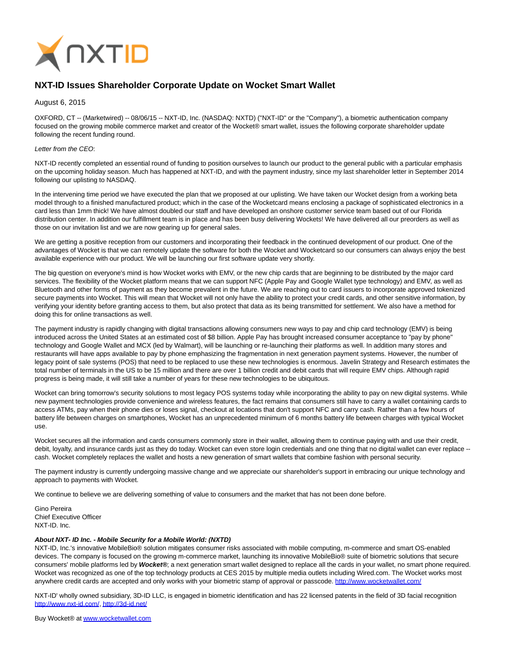

## **NXT-ID Issues Shareholder Corporate Update on Wocket Smart Wallet**

August 6, 2015

OXFORD, CT -- (Marketwired) -- 08/06/15 -- NXT-ID, Inc. (NASDAQ: NXTD) ("NXT-ID" or the "Company"), a biometric authentication company focused on the growing mobile commerce market and creator of the Wocket® smart wallet, issues the following corporate shareholder update following the recent funding round.

## Letter from the CEO:

NXT-ID recently completed an essential round of funding to position ourselves to launch our product to the general public with a particular emphasis on the upcoming holiday season. Much has happened at NXT-ID, and with the payment industry, since my last shareholder letter in September 2014 following our uplisting to NASDAQ.

In the intervening time period we have executed the plan that we proposed at our uplisting. We have taken our Wocket design from a working beta model through to a finished manufactured product; which in the case of the Wocketcard means enclosing a package of sophisticated electronics in a card less than 1mm thick! We have almost doubled our staff and have developed an onshore customer service team based out of our Florida distribution center. In addition our fulfillment team is in place and has been busy delivering Wockets! We have delivered all our preorders as well as those on our invitation list and we are now gearing up for general sales.

We are getting a positive reception from our customers and incorporating their feedback in the continued development of our product. One of the advantages of Wocket is that we can remotely update the software for both the Wocket and Wocketcard so our consumers can always enjoy the best available experience with our product. We will be launching our first software update very shortly.

The big question on everyone's mind is how Wocket works with EMV, or the new chip cards that are beginning to be distributed by the major card services. The flexibility of the Wocket platform means that we can support NFC (Apple Pay and Google Wallet type technology) and EMV, as well as Bluetooth and other forms of payment as they become prevalent in the future. We are reaching out to card issuers to incorporate approved tokenized secure payments into Wocket. This will mean that Wocket will not only have the ability to protect your credit cards, and other sensitive information, by verifying your identity before granting access to them, but also protect that data as its being transmitted for settlement. We also have a method for doing this for online transactions as well.

The payment industry is rapidly changing with digital transactions allowing consumers new ways to pay and chip card technology (EMV) is being introduced across the United States at an estimated cost of \$8 billion. Apple Pay has brought increased consumer acceptance to "pay by phone" technology and Google Wallet and MCX (led by Walmart), will be launching or re-launching their platforms as well. In addition many stores and restaurants will have apps available to pay by phone emphasizing the fragmentation in next generation payment systems. However, the number of legacy point of sale systems (POS) that need to be replaced to use these new technologies is enormous. Javelin Strategy and Research estimates the total number of terminals in the US to be 15 million and there are over 1 billion credit and debit cards that will require EMV chips. Although rapid progress is being made, it will still take a number of years for these new technologies to be ubiquitous.

Wocket can bring tomorrow's security solutions to most legacy POS systems today while incorporating the ability to pay on new digital systems. While new payment technologies provide convenience and wireless features, the fact remains that consumers still have to carry a wallet containing cards to access ATMs, pay when their phone dies or loses signal, checkout at locations that don't support NFC and carry cash. Rather than a few hours of battery life between charges on smartphones, Wocket has an unprecedented minimum of 6 months battery life between charges with typical Wocket use.

Wocket secures all the information and cards consumers commonly store in their wallet, allowing them to continue paying with and use their credit, debit, loyalty, and insurance cards just as they do today. Wocket can even store login credentials and one thing that no digital wallet can ever replace - cash. Wocket completely replaces the wallet and hosts a new generation of smart wallets that combine fashion with personal security.

The payment industry is currently undergoing massive change and we appreciate our shareholder's support in embracing our unique technology and approach to payments with Wocket.

We continue to believe we are delivering something of value to consumers and the market that has not been done before.

Gino Pereira Chief Executive Officer NXT-ID. Inc.

## **About NXT- ID Inc. - Mobile Security for a Mobile World: (NXTD)**

NXT-ID, Inc.'s innovative MobileBio® solution mitigates consumer risks associated with mobile computing, m-commerce and smart OS-enabled devices. The company is focused on the growing m-commerce market, launching its innovative MobileBio® suite of biometric solutions that secure consumers' mobile platforms led by **Wocket®**; a next generation smart wallet designed to replace all the cards in your wallet, no smart phone required. Wocket was recognized as one of the top technology products at CES 2015 by multiple media outlets including Wired.com. The Wocket works most anywhere credit cards are accepted and only works with your biometric stamp of approval or passcode. [http://www.wocketwallet.com/](http://ctt.marketwire.com/?release=11G049792-001&id=6765820&type=0&url=http%3a%2f%2fwww.wocketwallet.com%2f)

NXT-ID' wholly owned subsidiary, 3D-ID LLC, is engaged in biometric identification and has 22 licensed patents in the field of 3D facial recognition [http://www.nxt-id.com/,](http://ctt.marketwire.com/?release=11G049792-001&id=6765823&type=0&url=http%3a%2f%2fwww.nxt-id.com%2f) [http://3d-id.net/](http://ctt.marketwire.com/?release=11G049792-001&id=6765826&type=0&url=http%3a%2f%2f3d-id.net%2f)

Buy Wocket® at [www.wocketwallet.com](http://ctt.marketwire.com/?release=11G049792-001&id=6765829&type=0&url=http%3a%2f%2fwww.wocketwallet.com)